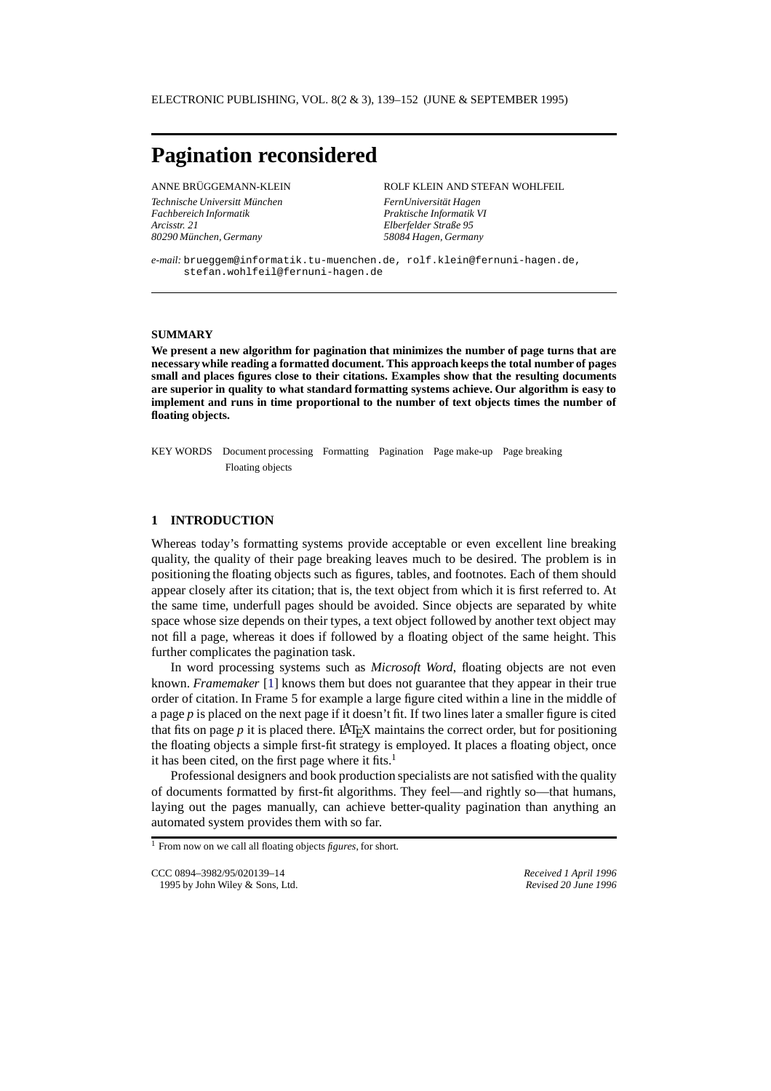# **Pagination reconsidered**

Technische Universitt München FernUniversität Hagen *Fachbereich Informatik Praktische Informatik VI Arcisstr. 21 Elberfelder Straße 95 80290 M¨unchen, Germany 58084 Hagen, Germany*

ANNE BRÜGGEMANN-KLEIN ROLF KLEIN AND STEFAN WOHLFEIL

*e-mail:* brueggem@informatik.tu-muenchen.de, rolf.klein@fernuni-hagen.de, stefan.wohlfeil@fernuni-hagen.de

#### **SUMMARY**

**We present a new algorithm for pagination that minimizes the number of page turns that are necessary while reading a formatted document. This approach keeps the total number of pages small and places figures close to their citations. Examples show that the resulting documents are superior in quality to what standard formatting systems achieve. Our algorithm is easy to implement and runs in time proportional to the number of text objects times the number of floating objects.**

KEY WORDS Document processing Formatting Pagination Page make-up Page breaking Floating objects

# **1 INTRODUCTION**

Whereas today's formatting systems provide acceptable or even excellent line breaking quality, the quality of their page breaking leaves much to be desired. The problem is in positioning the floating objects such as figures, tables, and footnotes. Each of them should appear closely after its citation; that is, the text object from which it is first referred to. At the same time, underfull pages should be avoided. Since objects are separated by white space whose size depends on their types, a text object followed by another text object may not fill a page, whereas it does if followed by a floating object of the same height. This further complicates the pagination task.

In word processing systems such as *Microsoft Word*, floating objects are not even known. *Framemaker* [\[1](#page-13-0)] knows them but does not guarantee that they appear in their true order of citation. In Frame 5 for example a large figure cited within a line in the middle of a page  $p$  is placed on the next page if it doesn't fit. If two lines later a smaller figure is cited that fits on page  $p$  it is placed there. LAT<sub>E</sub>X maintains the correct order, but for positioning the floating objects a simple first-fit strategy is employed. It places a floating object, once it has been cited, on the first page where it fits.<sup>1</sup>

Professional designers and book production specialists are not satisfied with the quality of documents formatted by first-fit algorithms. They feel—and rightly so—that humans, laying out the pages manually, can achieve better-quality pagination than anything an automated system provides them with so far.

<sup>1</sup> From now on we call all floating objects *figures*, for short.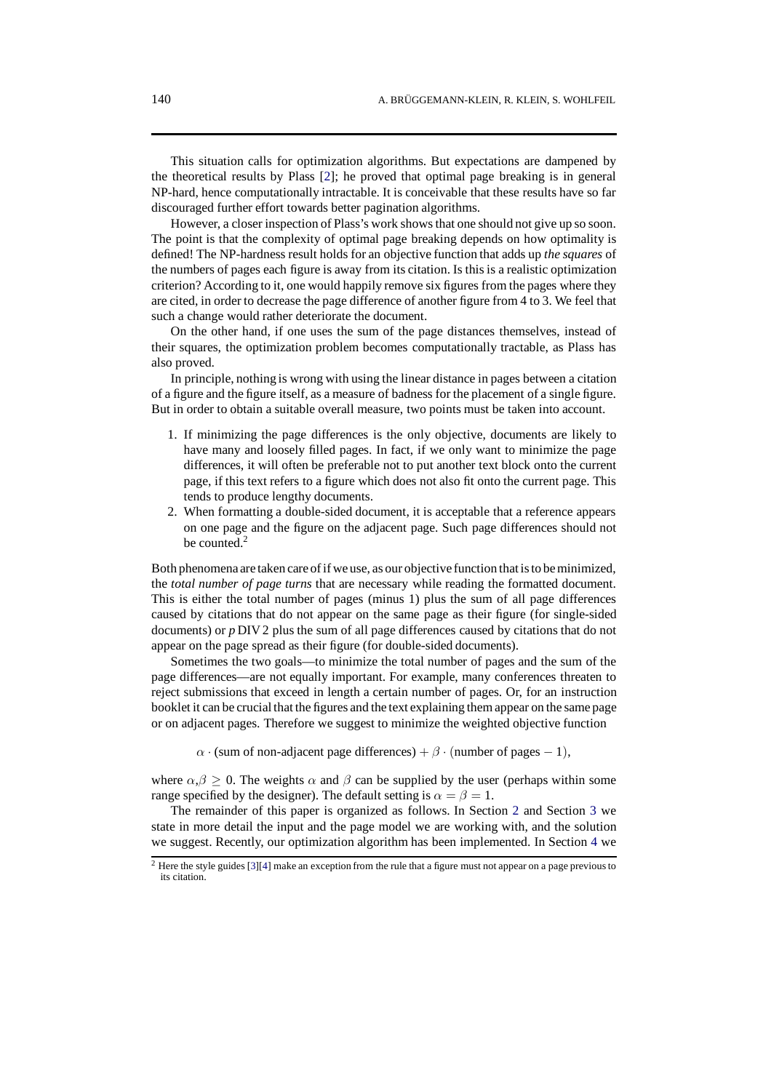This situation calls for optimization algorithms. But expectations are dampened by the theoretical results by Plass [\[2](#page-13-1)]; he proved that optimal page breaking is in general NP-hard, hence computationally intractable. It is conceivable that these results have so far discouraged further effort towards better pagination algorithms.

However, a closer inspection of Plass's work shows that one should not give up so soon. The point is that the complexity of optimal page breaking depends on how optimality is defined! The NP-hardness result holds for an objective function that adds up *the squares* of the numbers of pages each figure is away from its citation. Is this is a realistic optimization criterion? According to it, one would happily remove six figures from the pages where they are cited, in order to decrease the page difference of another figure from 4 to 3. We feel that such a change would rather deteriorate the document.

On the other hand, if one uses the sum of the page distances themselves, instead of their squares, the optimization problem becomes computationally tractable, as Plass has also proved.

In principle, nothing is wrong with using the linear distance in pages between a citation of a figure and the figure itself, as a measure of badness for the placement of a single figure. But in order to obtain a suitable overall measure, two points must be taken into account.

- 1. If minimizing the page differences is the only objective, documents are likely to have many and loosely filled pages. In fact, if we only want to minimize the page differences, it will often be preferable not to put another text block onto the current page, if this text refers to a figure which does not also fit onto the current page. This tends to produce lengthy documents.
- 2. When formatting a double-sided document, it is acceptable that a reference appears on one page and the figure on the adjacent page. Such page differences should not be counted.2

Both phenomena are taken care of if we use, as our objective function that is to be minimized, the *total number of page turns* that are necessary while reading the formatted document. This is either the total number of pages (minus 1) plus the sum of all page differences caused by citations that do not appear on the same page as their figure (for single-sided documents) or *p* DIV 2 plus the sum of all page differences caused by citations that do not appear on the page spread as their figure (for double-sided documents).

Sometimes the two goals—to minimize the total number of pages and the sum of the page differences—are not equally important. For example, many conferences threaten to reject submissions that exceed in length a certain number of pages. Or, for an instruction booklet it can be crucial that the figures and the text explaining them appear on the same page or on adjacent pages. Therefore we suggest to minimize the weighted objective function

 $\alpha$  · (sum of non-adjacent page differences) +  $\beta$  · (number of pages – 1),

where  $\alpha, \beta > 0$ . The weights  $\alpha$  and  $\beta$  can be supplied by the user (perhaps within some range specified by the designer). The default setting is  $\alpha = \beta = 1$ .

The remainder of this paper is organized as follows. In Section [2](#page-2-0) and Section [3](#page-4-0) we state in more detail the input and the page model we are working with, and the solution we suggest. Recently, our optimization algorithm has been implemented. In Section [4](#page-7-0) we

 $2$  Here the style guides [\[3](#page-13-2)][\[4](#page-13-3)] make an exception from the rule that a figure must not appear on a page previous to its citation.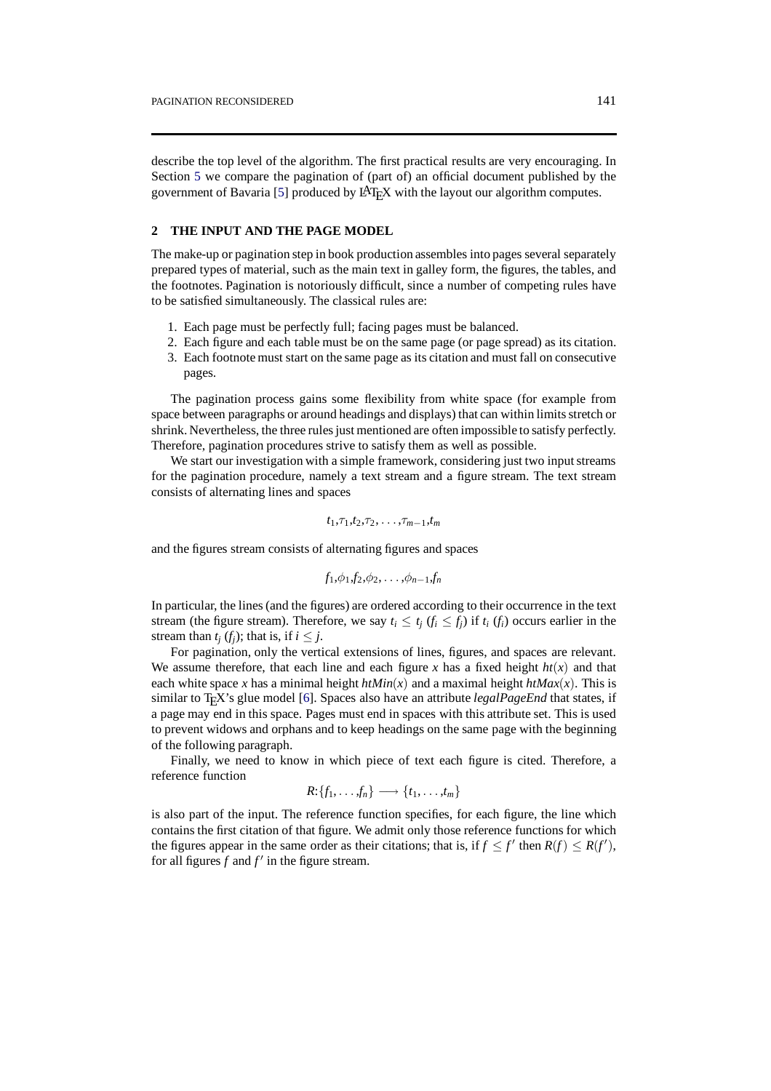describe the top level of the algorithm. The first practical results are very encouraging. In Section [5](#page-9-0) we compare the pagination of (part of) an official document published by the government of Bavaria [\[5](#page-13-5)] produced by  $\text{LAT}_F X$  with the layout our algorithm computes.

#### <span id="page-2-0"></span>**2 THE INPUT AND THE PAGE MODEL**

The make-up or pagination step in book production assembles into pages several separately prepared types of material, such as the main text in galley form, the figures, the tables, and the footnotes. Pagination is notoriously difficult, since a number of competing rules have to be satisfied simultaneously. The classical rules are:

- 1. Each page must be perfectly full; facing pages must be balanced.
- 2. Each figure and each table must be on the same page (or page spread) as its citation.
- 3. Each footnote must start on the same page as its citation and must fall on consecutive pages.

The pagination process gains some flexibility from white space (for example from space between paragraphs or around headings and displays) that can within limits stretch or shrink. Nevertheless, the three rules just mentioned are often impossible to satisfy perfectly. Therefore, pagination procedures strive to satisfy them as well as possible.

We start our investigation with a simple framework, considering just two input streams for the pagination procedure, namely a text stream and a figure stream. The text stream consists of alternating lines and spaces

$$
t_1,\tau_1,t_2,\tau_2,\ldots,\tau_{m-1},t_m
$$

and the figures stream consists of alternating figures and spaces

$$
f_1,\phi_1,f_2,\phi_2,\ldots,\phi_{n-1},f_n
$$

In particular, the lines (and the figures) are ordered according to their occurrence in the text stream (the figure stream). Therefore, we say  $t_i \leq t_j$  ( $f_i \leq f_j$ ) if  $t_i$  ( $f_i$ ) occurs earlier in the stream than  $t_i$  ( $f_i$ ); that is, if  $i \leq j$ .

For pagination, only the vertical extensions of lines, figures, and spaces are relevant. We assume therefore, that each line and each figure *x* has a fixed height  $ht(x)$  and that each white space *x* has a minimal height  $h tMin(x)$  and a maximal height  $h tMax(x)$ . This is similar to TEX's glue model [[6\]](#page-13-4). Spaces also have an attribute *legalPageEnd* that states, if a page may end in this space. Pages must end in spaces with this attribute set. This is used to prevent widows and orphans and to keep headings on the same page with the beginning of the following paragraph.

Finally, we need to know in which piece of text each figure is cited. Therefore, a reference function

$$
R: \{f_1, \ldots, f_n\} \longrightarrow \{t_1, \ldots, t_m\}
$$

is also part of the input. The reference function specifies, for each figure, the line which contains the first citation of that figure. We admit only those reference functions for which the figures appear in the same order as their citations; that is, if  $f \le f'$  then  $R(f) \le R(f')$ , for all figures  $f$  and  $f'$  in the figure stream.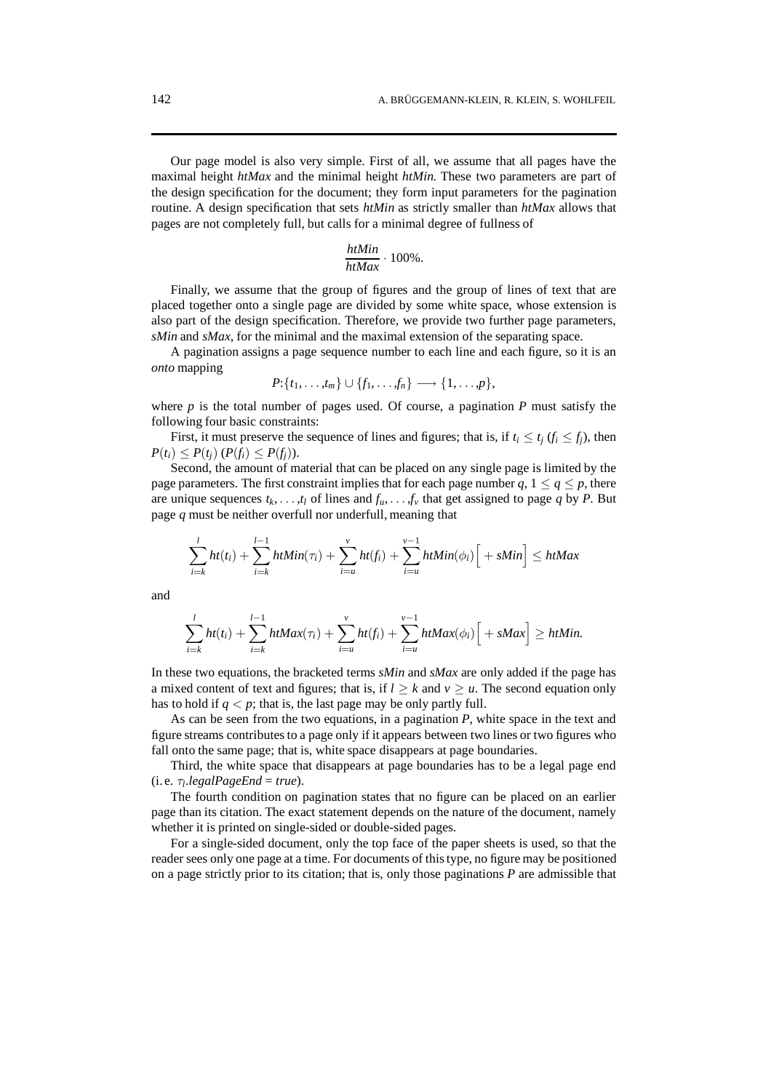Our page model is also very simple. First of all, we assume that all pages have the maximal height *htMax* and the minimal height *htMin*. These two parameters are part of the design specification for the document; they form input parameters for the pagination routine. A design specification that sets *htMin* as strictly smaller than *htMax* allows that pages are not completely full, but calls for a minimal degree of fullness of

$$
\frac{htMin}{htMax} \cdot 100\%.
$$

Finally, we assume that the group of figures and the group of lines of text that are placed together onto a single page are divided by some white space, whose extension is also part of the design specification. Therefore, we provide two further page parameters, *sMin* and *sMax*, for the minimal and the maximal extension of the separating space.

A pagination assigns a page sequence number to each line and each figure, so it is an *onto* mapping

$$
P: \{t_1,\ldots,t_m\} \cup \{f_1,\ldots,f_n\} \longrightarrow \{1,\ldots,p\},\
$$

where  $p$  is the total number of pages used. Of course, a pagination  $P$  must satisfy the following four basic constraints:

First, it must preserve the sequence of lines and figures; that is, if  $t_i \le t_i$  ( $f_i \le f_j$ ), then  $P(t_i) \leq P(t_i)$   $(P(f_i) \leq P(f_i)).$ 

Second, the amount of material that can be placed on any single page is limited by the page parameters. The first constraint implies that for each page number  $q$ ,  $1 \leq q \leq p$ , there are unique sequences  $t_k, \ldots, t_l$  of lines and  $f_u, \ldots, f_v$  that get assigned to page *q* by *P*. But page *q* must be neither overfull nor underfull, meaning that

$$
\sum_{i=k}^{l} ht(t_i) + \sum_{i=k}^{l-1} htMin(\tau_i) + \sum_{i=u}^{v} ht(f_i) + \sum_{i=u}^{v-1} htMin(\phi_i) \Big[ + sMin \Big] \leq htMax
$$

and

$$
\sum_{i=k}^{l} ht(t_i)+\sum_{i=k}^{l-1} htMax(\tau_i)+\sum_{i=u}^{v} ht(f_i)+\sum_{i=u}^{v-1} htMax(\phi_i)\Big[+sMax\Big]\geq htMin.
$$

In these two equations, the bracketed terms *sMin* and *sMax* are only added if the page has a mixed content of text and figures; that is, if  $l \geq k$  and  $v \geq u$ . The second equation only has to hold if  $q < p$ ; that is, the last page may be only partly full.

As can be seen from the two equations, in a pagination *P*, white space in the text and figure streams contributes to a page only if it appears between two lines or two figures who fall onto the same page; that is, white space disappears at page boundaries.

Third, the white space that disappears at page boundaries has to be a legal page end  $(i.e. \tau_l \text{.} legalPageEnd = true)$ .

The fourth condition on pagination states that no figure can be placed on an earlier page than its citation. The exact statement depends on the nature of the document, namely whether it is printed on single-sided or double-sided pages.

For a single-sided document, only the top face of the paper sheets is used, so that the reader sees only one page at a time. For documents of this type, no figure may be positioned on a page strictly prior to its citation; that is, only those paginations *P* are admissible that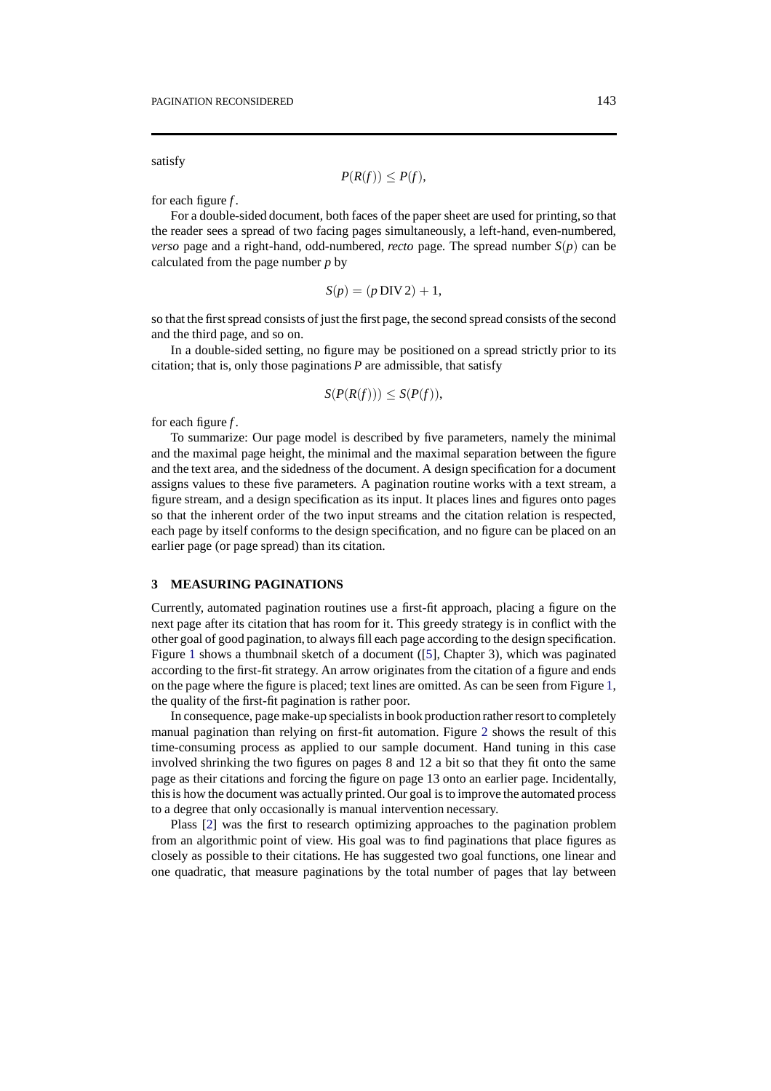satisfy

$$
P(R(f)) \leq P(f),
$$

for each figure *f* .

For a double-sided document, both faces of the paper sheet are used for printing, so that the reader sees a spread of two facing pages simultaneously, a left-hand, even-numbered, *verso* page and a right-hand, odd-numbered, *recto* page. The spread number  $S(p)$  can be calculated from the page number *p* by

$$
S(p) = (p \text{ DIV 2}) + 1,
$$

so that the first spread consists of just the first page, the second spread consists of the second and the third page, and so on.

In a double-sided setting, no figure may be positioned on a spread strictly prior to its citation; that is, only those paginations *P* are admissible, that satisfy

$$
S(P(R(f))) \leq S(P(f)),
$$

for each figure *f* .

To summarize: Our page model is described by five parameters, namely the minimal and the maximal page height, the minimal and the maximal separation between the figure and the text area, and the sidedness of the document. A design specification for a document assigns values to these five parameters. A pagination routine works with a text stream, a figure stream, and a design specification as its input. It places lines and figures onto pages so that the inherent order of the two input streams and the citation relation is respected, each page by itself conforms to the design specification, and no figure can be placed on an earlier page (or page spread) than its citation.

### <span id="page-4-0"></span>**3 MEASURING PAGINATIONS**

Currently, automated pagination routines use a first-fit approach, placing a figure on the next page after its citation that has room for it. This greedy strategy is in conflict with the other goal of good pagination, to always fill each page according to the design specification. Figure [1](#page-5-0) shows a thumbnail sketch of a document ([[5\]](#page-13-5), Chapter 3), which was paginated according to the first-fit strategy. An arrow originates from the citation of a figure and ends on the page where the figure is placed; text lines are omitted. As can be seen from Figure [1](#page-5-0), the quality of the first-fit pagination is rather poor.

In consequence, page make-up specialists in book productionrather resort to completely manual pagination than relying on first-fit automation. Figure [2](#page-6-0) shows the result of this time-consuming process as applied to our sample document. Hand tuning in this case involved shrinking the two figures on pages 8 and 12 a bit so that they fit onto the same page as their citations and forcing the figure on page 13 onto an earlier page. Incidentally, this is how the document was actually printed. Our goal is to improve the automated process to a degree that only occasionally is manual intervention necessary.

Plass [\[2](#page-13-1)] was the first to research optimizing approaches to the pagination problem from an algorithmic point of view. His goal was to find paginations that place figures as closely as possible to their citations. He has suggested two goal functions, one linear and one quadratic, that measure paginations by the total number of pages that lay between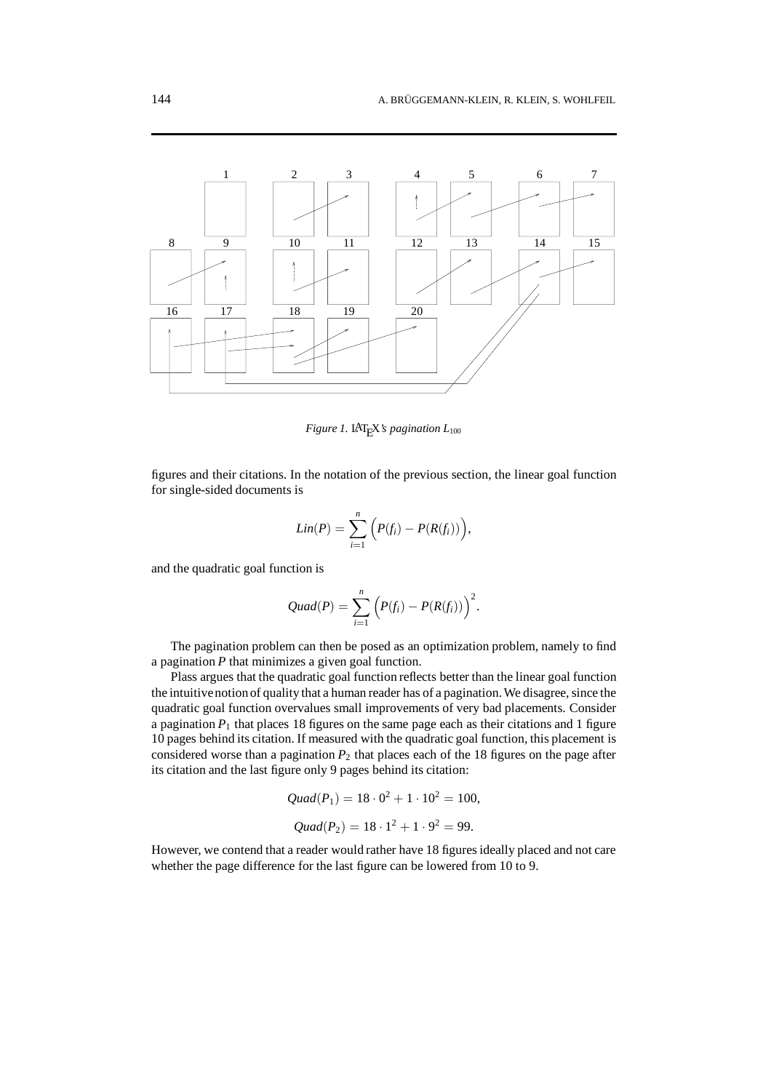<span id="page-5-0"></span>

*Figure 1.* LAT<sub>E</sub>X*'s pagination*  $L_{100}$ 

figures and their citations. In the notation of the previous section, the linear goal function for single-sided documents is

$$
Lin(P) = \sum_{i=1}^{n} \Big( P(f_i) - P(R(f_i)) \Big),
$$

and the quadratic goal function is

$$
Quad(P) = \sum_{i=1}^n (P(f_i) - P(R(f_i)))^2.
$$

The pagination problem can then be posed as an optimization problem, namely to find a pagination *P* that minimizes a given goal function.

Plass argues that the quadratic goal function reflects better than the linear goal function the intuitivenotionof quality that a human reader has of a pagination. We disagree, since the quadratic goal function overvalues small improvements of very bad placements. Consider a pagination  $P_1$  that places 18 figures on the same page each as their citations and 1 figure 10 pages behind its citation. If measured with the quadratic goal function, this placement is considered worse than a pagination  $P_2$  that places each of the 18 figures on the page after its citation and the last figure only 9 pages behind its citation:

*Quad*(
$$
P_1
$$
) = 18 · 0<sup>2</sup> + 1 · 10<sup>2</sup> = 100,  
*Quad*( $P_2$ ) = 18 · 1<sup>2</sup> + 1 · 9<sup>2</sup> = 99.

However, we contend that a reader would rather have 18 figures ideally placed and not care whether the page difference for the last figure can be lowered from 10 to 9.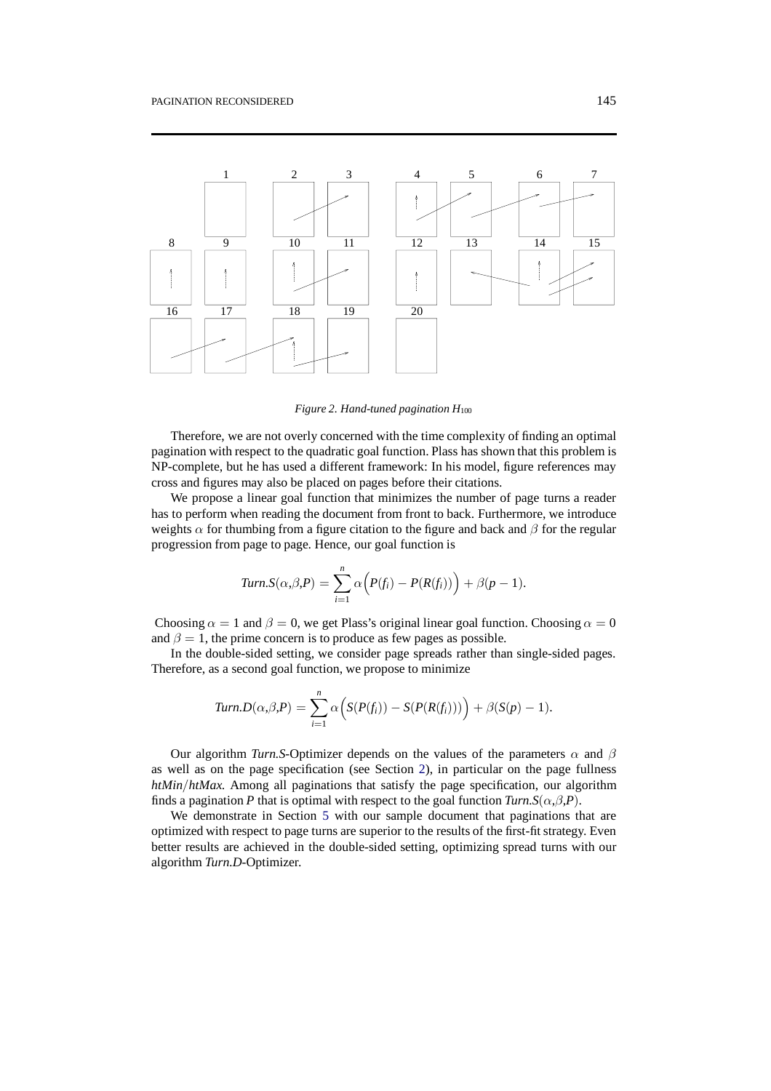<span id="page-6-0"></span>

*Figure 2. Hand-tuned pagination H*<sup>100</sup>

Therefore, we are not overly concerned with the time complexity of finding an optimal pagination with respect to the quadratic goal function. Plass has shown that this problem is NP-complete, but he has used a different framework: In his model, figure references may cross and figures may also be placed on pages before their citations.

We propose a linear goal function that minimizes the number of page turns a reader has to perform when reading the document from front to back. Furthermore, we introduce weights  $\alpha$  for thumbing from a figure citation to the figure and back and  $\beta$  for the regular progression from page to page. Hence, our goal function is

$$
Turn.S(\alpha,\beta,P)=\sum_{i=1}^n\alpha\Big(P(f_i)-P(R(f_i))\Big)+\beta(p-1).
$$

Choosing  $\alpha = 1$  and  $\beta = 0$ , we get Plass's original linear goal function. Choosing  $\alpha = 0$ and  $\beta = 1$ , the prime concern is to produce as few pages as possible.

In the double-sided setting, we consider page spreads rather than single-sided pages. Therefore, as a second goal function, we propose to minimize

$$
Turn.D(\alpha,\beta,P)=\sum_{i=1}^n\alpha\Big(S(P(f_i))-S(P(R(f_i)))\Big)+\beta(S(p)-1).
$$

Our algorithm *Turn.S*-Optimizer depends on the values of the parameters  $\alpha$  and  $\beta$ as well as on the page specification (see Section [2](#page-2-0)), in particular on the page fullness *htMin*/*htMax*. Among all paginations that satisfy the page specification, our algorithm finds a pagination *P* that is optimal with respect to the goal function  $Turn.S(\alpha,\beta,P)$ .

We demonstrate in Section [5](#page-9-0) with our sample document that paginations that are optimized with respect to page turns are superior to the results of the first-fit strategy. Even better results are achieved in the double-sided setting, optimizing spread turns with our algorithm *Turn.D*-Optimizer.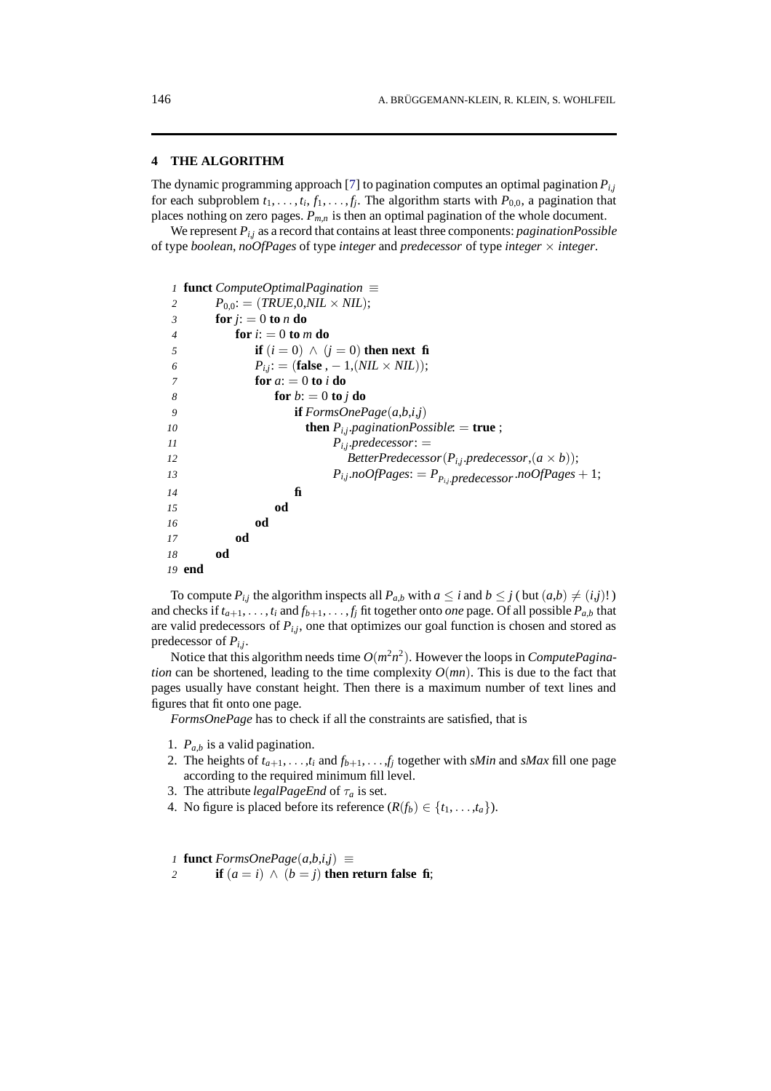### <span id="page-7-0"></span>**4 THE ALGORITHM**

The dynamic programming approach [\[7](#page-13-6)] to pagination computes an optimal pagination *Pi*,*<sup>j</sup>* for each subproblem  $t_1, \ldots, t_i, f_1, \ldots, f_j$ . The algorithm starts with  $P_{0,0}$ , a pagination that places nothing on zero pages. *Pm*,*<sup>n</sup>* is then an optimal pagination of the whole document.

We represent *Pi*,*<sup>j</sup>* as a record that contains at least three components: *paginationPossible* of type *boolean*, *noOfPages* of type *integer* and *predecessor* of type *integer* × *integer*.

|                | 1 <b>funct</b> ComputeOptimalPagination $\equiv$                 |
|----------------|------------------------------------------------------------------|
| 2              | $P_{0.0}$ : = (TRUE,0,NIL × NIL);                                |
| 3              | for $i = 0$ to n do                                              |
| $\overline{4}$ | for $i: = 0$ to m do                                             |
| 5              | if $(i = 0) \wedge (j = 0)$ then next fi                         |
| 6              | $P_{i,i}$ : = (false , - 1, (NIL × NIL));                        |
| 7              | for $a_i = 0$ to i do                                            |
| 8              | for $b$ : = 0 to j do                                            |
| 9              | <b>if</b> $FormsOnePage(a,b,i,j)$                                |
| 10             | <b>then</b> $P_{i,j}$ pagination Possible: = <b>true</b> ;       |
| 11             | $P_{i,j}.predecessor:$ =                                         |
| 12             | BetterPredecessor( $P_{i,j}$ .predecessor, $(a \times b)$ );     |
| 13             | $P_{i,j}$ .noOfPages: = $P_{P_{i,j}}$ predecessor.noOfPages + 1; |
| 14             | fi                                                               |
| 15             | od                                                               |
| 16             | od                                                               |
| 17             | od                                                               |
| 18             | od                                                               |
|                | 19 end                                                           |

To compute  $P_{i,j}$  the algorithm inspects all  $P_{a,b}$  with  $a \le i$  and  $b \le j$  (but  $(a,b) \ne (i,j)!$ ) and checks if  $t_{a+1}, \ldots, t_i$  and  $f_{b+1}, \ldots, f_j$  fit together onto *one* page. Of all possible  $P_{a,b}$  that are valid predecessors of  $P_{i,j}$ , one that optimizes our goal function is chosen and stored as predecessor of *Pi*,*j*.

Notice that this algorithm needs time  $O(m^2n^2)$ . However the loops in *ComputePagination* can be shortened, leading to the time complexity  $O(mn)$ . This is due to the fact that pages usually have constant height. Then there is a maximum number of text lines and figures that fit onto one page.

*FormsOnePage* has to check if all the constraints are satisfied, that is

- 1. *Pa*,*<sup>b</sup>* is a valid pagination.
- 2. The heights of  $t_{a+1}, \ldots, t_i$  and  $f_{b+1}, \ldots, f_i$  together with *sMin* and *sMax* fill one page according to the required minimum fill level.
- 3. The attribute *legalPageEnd* of τ*<sup>a</sup>* is set.
- 4. No figure is placed before its reference  $(R(f_b) \in \{t_1, \ldots, t_a\})$ .

*1* **funct**  $FormsOnePage(a,b,i,j) \equiv$ 

2 **if**  $(a = i) \wedge (b = j)$  **then return false fi**;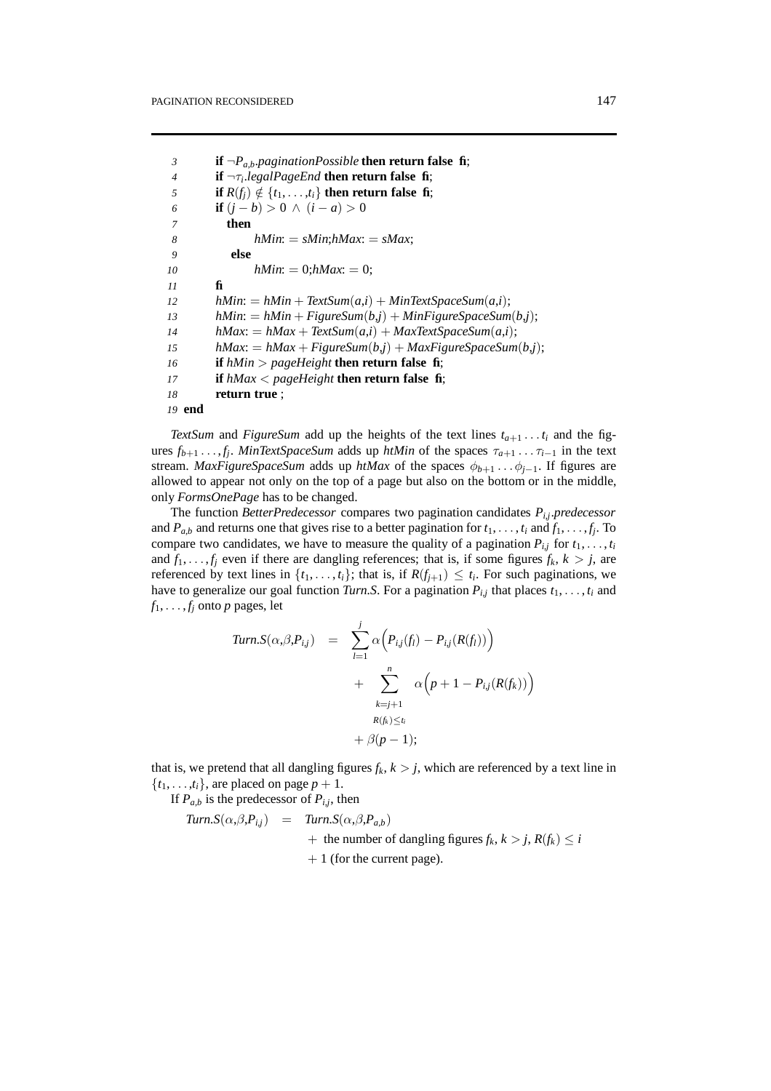**if** ¬*Pa*,*b*.*paginationPossible* **then return false fi**; **if** ¬τ*i*.*legalPageEnd* **then return false fi**; **if**  $R(f_i) \notin \{t_1, \ldots, t_i\}$  then return false fi; **if**  $(j - b) > 0$  ∧  $(i - a) > 0$ *7* **then** *hMin*: = *sMin*;*hMax*: = *sMax*; *9* **else** *hMin*: = 0;*hMax*: = 0; *11* **fi** *hMin*:  $= hMin + TextSum(a,i) + MinTextSpaceSum(a,i);$ *hMin*:  $= hMin + FigureSum(b,j) + MinFigureSpaceSum(b,j);$ *hMax*: =  $hMax + TextSum(a,i) + MaxTextSpaceSum(a,i);$ *hMax*:  $= hMax + FigureSum(b, j) + MaxFigureSpaceSum(b, j);$  **if** *hMin* > *pageHeight* **then return false fi**; **if** *hMax* < *pageHeight* **then return false fi**; **return true** ; *19* **end**

*TextSum* and *FigureSum* add up the heights of the text lines  $t_{a+1} \ldots t_i$  and the figures  $f_{b+1}$ ...,  $f_j$ . *MinTextSpaceSum* adds up *htMin* of the spaces  $\tau_{a+1}$ ... $\tau_{i-1}$  in the text stream. *MaxFigureSpaceSum* adds up *htMax* of the spaces  $\phi_{b+1}$ ... $\phi_{i-1}$ . If figures are allowed to appear not only on the top of a page but also on the bottom or in the middle, only *FormsOnePage* has to be changed.

The function *BetterPredecessor* compares two pagination candidates *Pi*,*j*.*predecessor* and  $P_{a,b}$  and returns one that gives rise to a better pagination for  $t_1, \ldots, t_i$  and  $f_1, \ldots, f_j$ . To compare two candidates, we have to measure the quality of a pagination  $P_{i,j}$  for  $t_1, \ldots, t_i$ and  $f_1, \ldots, f_j$  even if there are dangling references; that is, if some figures  $f_k$ ,  $k > j$ , are referenced by text lines in  $\{t_1, \ldots, t_i\}$ ; that is, if  $R(f_{i+1}) \leq t_i$ . For such paginations, we have to generalize our goal function *Turn.S*. For a pagination  $P_{i,j}$  that places  $t_1, \ldots, t_i$  and  $f_1, \ldots, f_j$  onto *p* pages, let

$$
Turn.S(\alpha,\beta,P_{ij}) = \sum_{l=1}^{j} \alpha \Big( P_{ij}(f_l) - P_{ij}(R(f_l)) \Big) + \sum_{\substack{k=j+1 \ R(f_k) \le t_i}}^{n} \alpha \Big( p + 1 - P_{ij}(R(f_k)) \Big) + \beta(p-1);
$$

that is, we pretend that all dangling figures  $f_k$ ,  $k > j$ , which are referenced by a text line in  $\{t_1, \ldots, t_i\}$ , are placed on page  $p + 1$ .

If  $P_{a,b}$  is the predecessor of  $P_{i,j}$ , then

*Turn.S*(
$$
\alpha, \beta, P_{i,j}
$$
) = *Turn.S*( $\alpha, \beta, P_{a,b}$ )  
+ the number of danging figures  $f_k$ ,  $k > j$ ,  $R(f_k) \le i$   
+ 1 (for the current page).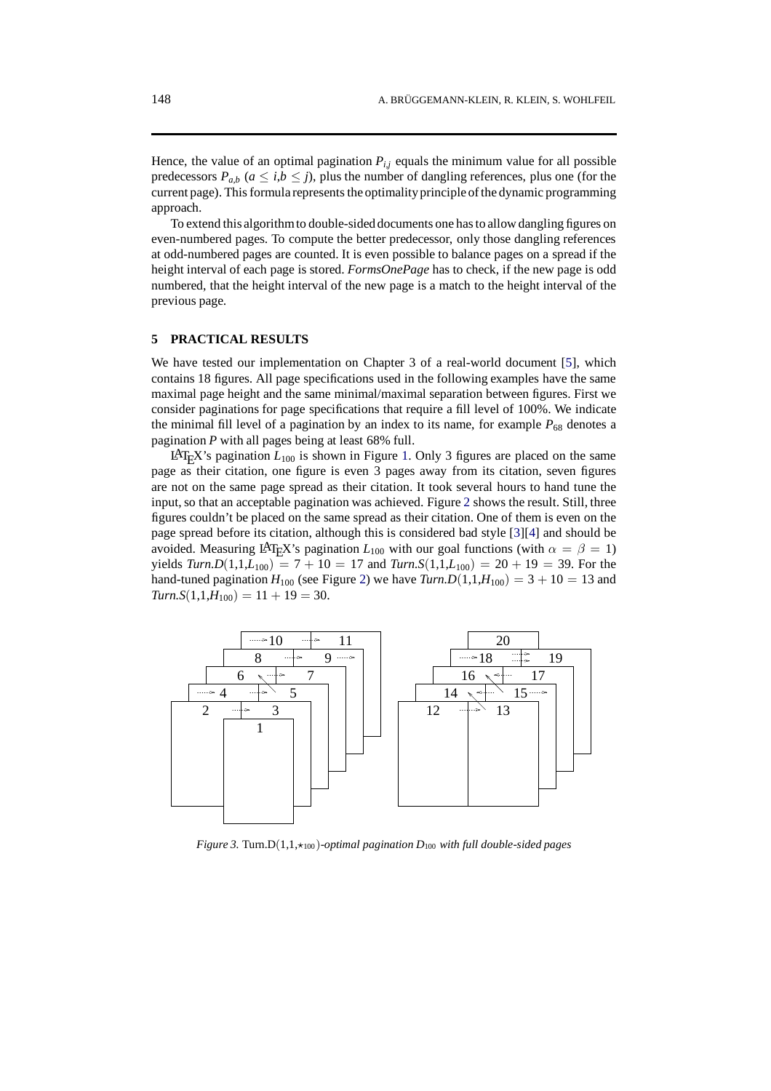Hence, the value of an optimal pagination  $P_{i,j}$  equals the minimum value for all possible predecessors  $P_{a,b}$  ( $a \le i,b \le j$ ), plus the number of dangling references, plus one (for the current page). This formula represents the optimalityprinciple of the dynamic programming approach.

To extend this algorithmto double-sideddocuments one has to allow dangling figures on even-numbered pages. To compute the better predecessor, only those dangling references at odd-numbered pages are counted. It is even possible to balance pages on a spread if the height interval of each page is stored. *FormsOnePage* has to check, if the new page is odd numbered, that the height interval of the new page is a match to the height interval of the previous page.

#### <span id="page-9-0"></span>**5 PRACTICAL RESULTS**

We have tested our implementation on Chapter 3 of a real-world document [\[5](#page-13-5)], which contains 18 figures. All page specifications used in the following examples have the same maximal page height and the same minimal/maximal separation between figures. First we consider paginations for page specifications that require a fill level of 100%. We indicate the minimal fill level of a pagination by an index to its name, for example  $P_{68}$  denotes a pagination *P* with all pages being at least 68% full.

LAT<sub>E</sub>X's pagination  $L_{100}$  $L_{100}$  $L_{100}$  is shown in Figure 1. Only 3 figures are placed on the same page as their citation, one figure is even 3 pages away from its citation, seven figures are not on the same page spread as their citation. It took several hours to hand tune the input, so that an acceptable pagination was achieved. Figure [2](#page-6-0) shows the result. Still, three figures couldn't be placed on the same spread as their citation. One of them is even on the page spread before its citation, although this is considered bad style [\[3](#page-13-2)][\[4](#page-13-3)] and should be avoided. Measuring LAT<sub>E</sub>X's pagination  $L_{100}$  with our goal functions (with  $\alpha = \beta = 1$ ) yields  $Turn.D(1,1,L_{100}) = 7 + 10 = 17$  and  $Turn.S(1,1,L_{100}) = 20 + 19 = 39$ . For the hand-tuned pagination  $H_{100}$  (see Figure [2](#page-6-0)) we have  $Turn.D(1,1,H_{100}) = 3 + 10 = 13$  and  $Turn.S(1,1,H_{100}) = 11 + 19 = 30.$ 

<span id="page-9-1"></span>

*Figure 3.* Turn. $D(1,1,\star_{100})$ *-optimal pagination*  $D_{100}$  *with full double-sided pages*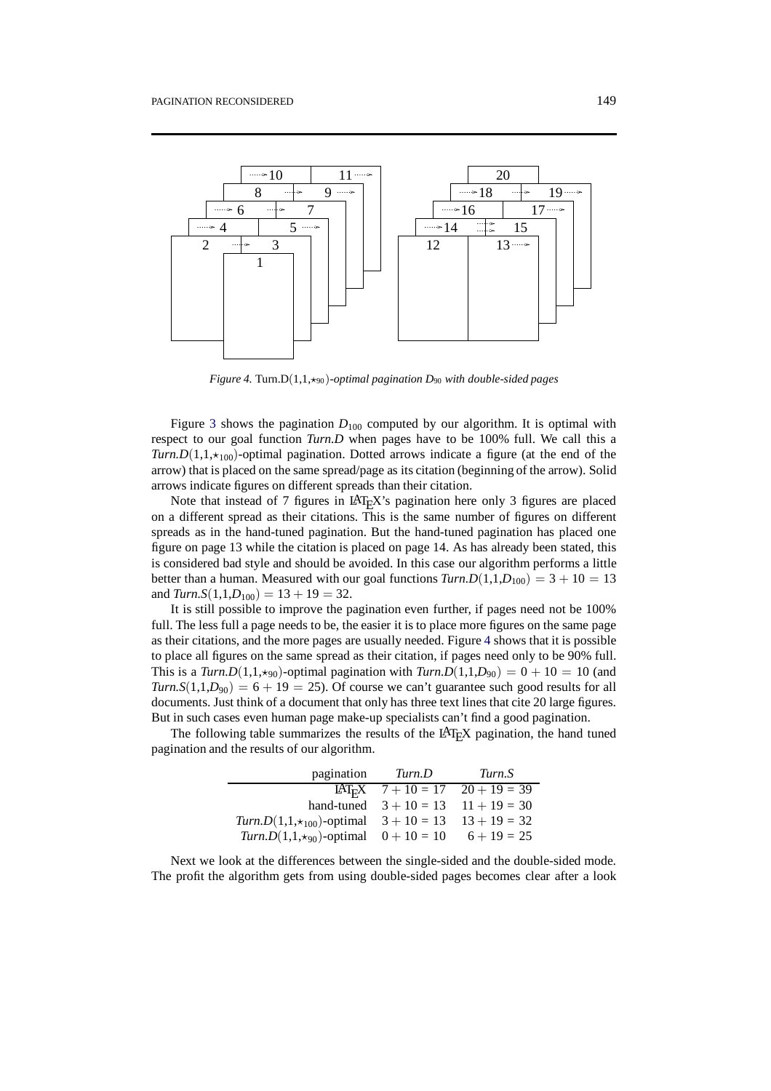<span id="page-10-0"></span>

*Figure 4.* Turn.D(1,1, $\star$ <sub>90</sub>)-optimal pagination D<sub>90</sub> with double-sided pages

Figure [3](#page-9-1) shows the pagination  $D_{100}$  computed by our algorithm. It is optimal with respect to our goal function *Turn.D* when pages have to be 100% full. We call this a *Turn.D*(1,1, $\star$ <sub>100</sub>)-optimal pagination. Dotted arrows indicate a figure (at the end of the arrow) that is placed on the same spread/page as its citation (beginning of the arrow). Solid arrows indicate figures on different spreads than their citation.

Note that instead of 7 figures in  $LAT$ <sub>E</sub>X's pagination here only 3 figures are placed on a different spread as their citations. This is the same number of figures on different spreads as in the hand-tuned pagination. But the hand-tuned pagination has placed one figure on page 13 while the citation is placed on page 14. As has already been stated, this is considered bad style and should be avoided. In this case our algorithm performs a little better than a human. Measured with our goal functions  $Turn.D(1,1,D_{100}) = 3 + 10 = 13$ and  $Turn.S(1,1,D_{100}) = 13 + 19 = 32$ .

It is still possible to improve the pagination even further, if pages need not be 100% full. The less full a page needs to be, the easier it is to place more figures on the same page as their citations, and the more pages are usually needed. Figure [4](#page-10-0) shows that it is possible to place all figures on the same spread as their citation, if pages need only to be 90% full. This is a *Turn.D*(1,1, $\star$ 90)-optimal pagination with *Turn.D*(1,1,*D*<sub>90</sub>) = 0 + 10 = 10 (and *Turn.S*(1,1,*D*<sub>90</sub>) = 6 + 19 = 25). Of course we can't guarantee such good results for all documents. Just think of a document that only has three text lines that cite 20 large figures. But in such cases even human page make-up specialists can't find a good pagination.

The following table summarizes the results of the LAT<sub>E</sub>X pagination, the hand tuned pagination and the results of our algorithm.

|                                                                           | pagination <i>Turn.D</i> | Turn.S                                          |
|---------------------------------------------------------------------------|--------------------------|-------------------------------------------------|
|                                                                           |                          | LAT <sub>E</sub> X $7 + 10 = 17$ $20 + 19 = 39$ |
|                                                                           |                          | hand-tuned $3 + 10 = 13$ $11 + 19 = 30$         |
| Turn.D(1,1, $\star$ <sub>100</sub> )-optimal $3 + 10 = 13$ $13 + 19 = 32$ |                          |                                                 |
| Turn.D(1,1, $\star$ 90)-optimal $0 + 10 = 10$ $6 + 19 = 25$               |                          |                                                 |

Next we look at the differences between the single-sided and the double-sided mode. The profit the algorithm gets from using double-sided pages becomes clear after a look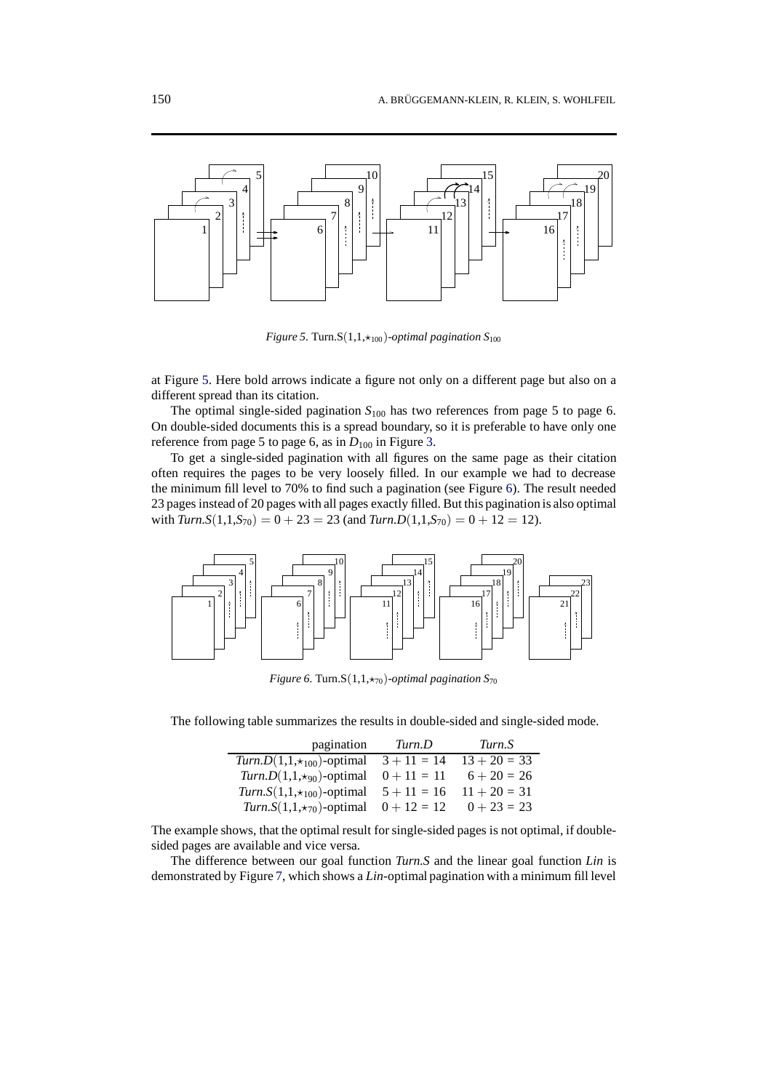<span id="page-11-1"></span>

*Figure 5.* Turn.S $(1,1, \star_{100})$ *-optimal pagination*  $S_{100}$ 

at Figure [5](#page-11-1). Here bold arrows indicate a figure not only on a different page but also on a different spread than its citation.

The optimal single-sided pagination  $S_{100}$  has two references from page 5 to page 6. On double-sided documents this is a spread boundary, so it is preferable to have only one reference from page 5 to page 6, as in  $D_{100}$  in Figure [3](#page-9-1).

To get a single-sided pagination with all figures on the same page as their citation often requires the pages to be very loosely filled. In our example we had to decrease the minimum fill level to 70% to find such a pagination (see Figure [6](#page-11-0)). The result needed 23 pages instead of 20 pages with all pages exactly filled. But this pagination is also optimal with  $Turn.S(1,1,5_{70}) = 0 + 23 = 23$  (and  $Turn.D(1,1,5_{70}) = 0 + 12 = 12$ ).

<span id="page-11-0"></span>

*Figure 6.* Turn.S $(1,1,\star_{70})$ *-optimal pagination S*<sub>70</sub>

The following table summarizes the results in double-sided and single-sided mode.

| pagination                                              | Turn.D        | Turn.S         |
|---------------------------------------------------------|---------------|----------------|
| Turn.D(1,1, $\star$ 100)-optimal 3 + 11 = 14            |               | $13 + 20 = 33$ |
| $Turn.D(1,1,\star_{90})$ -optimal                       | $0 + 11 = 11$ | $6 + 20 = 26$  |
| <i>Turn.S</i> $(1,1, *_{100})$ -optimal $5 + 11 = 16$   |               | $11 + 20 = 31$ |
| <i>Turn.S</i> $(1,1,\star_{70})$ -optimal $0 + 12 = 12$ |               | $0 + 23 = 23$  |

The example shows, that the optimal result for single-sided pages is not optimal, if doublesided pages are available and vice versa.

The difference between our goal function *Turn.S* and the linear goal function *Lin* is demonstrated by Figure [7,](#page-12-0) which shows a *Lin*-optimal pagination with a minimum fill level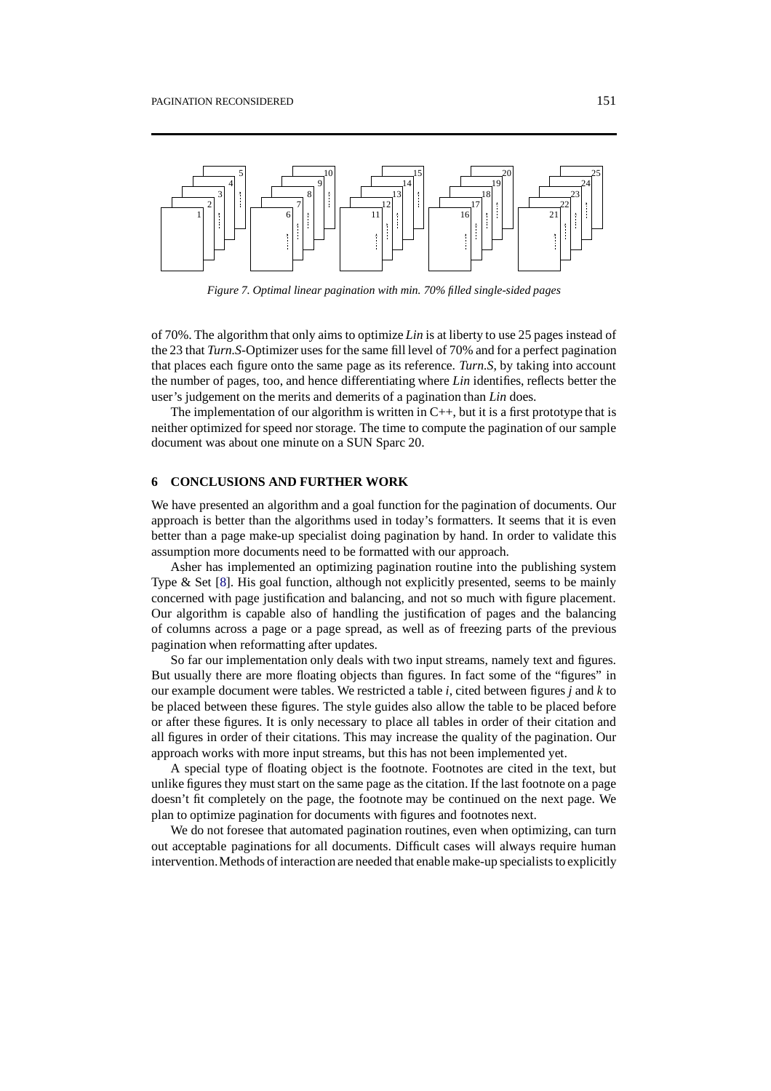<span id="page-12-0"></span>

*Figure 7. Optimal linear pagination with min. 70% filled single-sided pages*

of 70%. The algorithm that only aims to optimize *Lin* is at liberty to use 25 pages instead of the 23 that *Turn.S*-Optimizer uses for the same fill level of 70% and for a perfect pagination that places each figure onto the same page as its reference. *Turn.S*, by taking into account the number of pages, too, and hence differentiating where *Lin* identifies, reflects better the user's judgement on the merits and demerits of a pagination than *Lin* does.

The implementation of our algorithm is written in  $C_{++}$ , but it is a first prototype that is neither optimized for speed nor storage. The time to compute the pagination of our sample document was about one minute on a SUN Sparc 20.

## **6 CONCLUSIONS AND FURTHER WORK**

We have presented an algorithm and a goal function for the pagination of documents. Our approach is better than the algorithms used in today's formatters. It seems that it is even better than a page make-up specialist doing pagination by hand. In order to validate this assumption more documents need to be formatted with our approach.

Asher has implemented an optimizing pagination routine into the publishing system Type  $\&$  Set [[8](#page-13-7)]. His goal function, although not explicitly presented, seems to be mainly concerned with page justification and balancing, and not so much with figure placement. Our algorithm is capable also of handling the justification of pages and the balancing of columns across a page or a page spread, as well as of freezing parts of the previous pagination when reformatting after updates.

So far our implementation only deals with two input streams, namely text and figures. But usually there are more floating objects than figures. In fact some of the "figures" in our example document were tables. We restricted a table *i*, cited between figures *j* and *k* to be placed between these figures. The style guides also allow the table to be placed before or after these figures. It is only necessary to place all tables in order of their citation and all figures in order of their citations. This may increase the quality of the pagination. Our approach works with more input streams, but this has not been implemented yet.

A special type of floating object is the footnote. Footnotes are cited in the text, but unlike figures they must start on the same page as the citation. If the last footnote on a page doesn't fit completely on the page, the footnote may be continued on the next page. We plan to optimize pagination for documents with figures and footnotes next.

We do not foresee that automated pagination routines, even when optimizing, can turn out acceptable paginations for all documents. Difficult cases will always require human intervention.Methods of interaction are needed that enable make-up specialists to explicitly